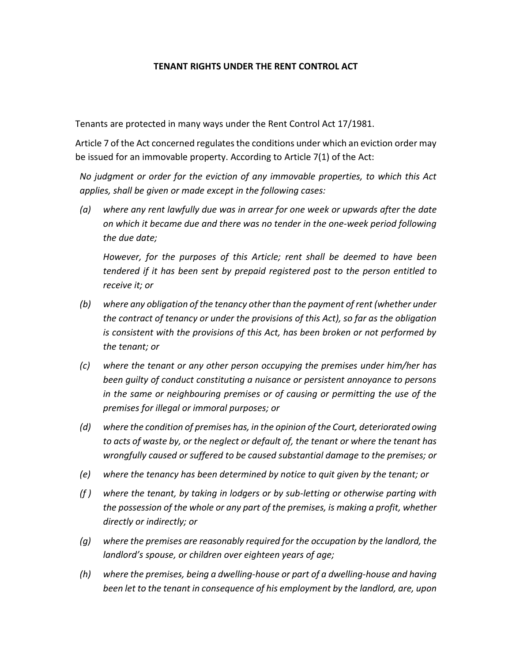## **TENANT RIGHTS UNDER THE RENT CONTROL ACT**

Tenants are protected in many ways under the Rent Control Act 17/1981.

Article 7 of the Act concerned regulates the conditions under which an eviction order may be issued for an immovable property. According to Article 7(1) of the Act:

*No judgment or order for the eviction of any immovable properties, to which this Act applies, shall be given or made except in the following cases:* 

*(a) where any rent lawfully due was in arrear for one week or upwards after the date on which it became due and there was no tender in the one-week period following the due date;*

*However, for the purposes of this Article; rent shall be deemed to have been tendered if it has been sent by prepaid registered post to the person entitled to receive it; or*

- *(b) where any obligation of the tenancy other than the payment of rent (whether under the contract of tenancy or under the provisions of this Act), so far as the obligation is consistent with the provisions of this Act, has been broken or not performed by the tenant; or*
- *(c) where the tenant or any other person occupying the premises under him/her has been guilty of conduct constituting a nuisance or persistent annoyance to persons in the same or neighbouring premises or of causing or permitting the use of the premises for illegal or immoral purposes; or*
- *(d) where the condition of premises has, in the opinion of the Court, deteriorated owing to acts of waste by, or the neglect or default of, the tenant or where the tenant has wrongfully caused or suffered to be caused substantial damage to the premises; or*
- *(e) where the tenancy has been determined by notice to quit given by the tenant; or*
- *(f ) where the tenant, by taking in lodgers or by sub-letting or otherwise parting with the possession of the whole or any part of the premises, is making a profit, whether directly or indirectly; or*
- *(g) where the premises are reasonably required for the occupation by the landlord, the landlord's spouse, or children over eighteen years of age;*
- *(h) where the premises, being a dwelling-house or part of a dwelling-house and having been let to the tenant in consequence of his employment by the landlord, are, upon*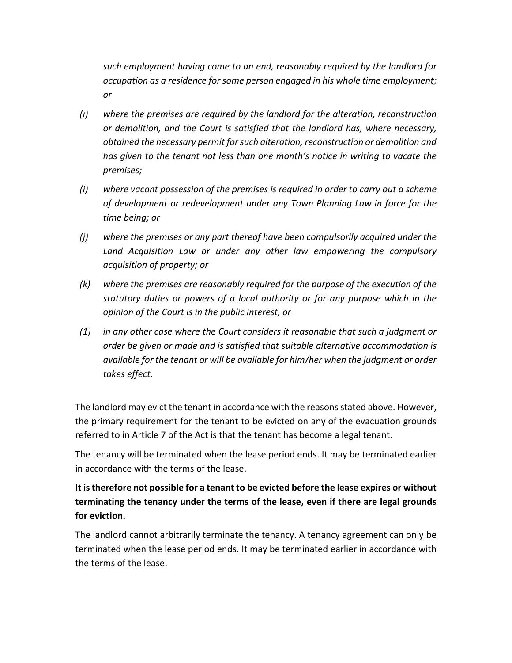*such employment having come to an end, reasonably required by the landlord for occupation as a residence for some person engaged in his whole time employment; or*

- *(ı) where the premises are required by the landlord for the alteration, reconstruction or demolition, and the Court is satisfied that the landlord has, where necessary, obtained the necessary permit for such alteration, reconstruction or demolition and has given to the tenant not less than one month's notice in writing to vacate the premises;*
- *(i) where vacant possession of the premises is required in order to carry out a scheme of development or redevelopment under any Town Planning Law in force for the time being; or*
- *(j) where the premises or any part thereof have been compulsorily acquired under the Land Acquisition Law or under any other law empowering the compulsory acquisition of property; or*
- *(k) where the premises are reasonably required for the purpose of the execution of the statutory duties or powers of a local authority or for any purpose which in the opinion of the Court is in the public interest, or*
- *(1) in any other case where the Court considers it reasonable that such a judgment or order be given or made and is satisfied that suitable alternative accommodation is available for the tenant or will be available for him/her when the judgment or order takes effect.*

The landlord may evict the tenant in accordance with the reasons stated above. However, the primary requirement for the tenant to be evicted on any of the evacuation grounds referred to in Article 7 of the Act is that the tenant has become a legal tenant.

The tenancy will be terminated when the lease period ends. It may be terminated earlier in accordance with the terms of the lease.

## **It is therefore not possible for a tenant to be evicted before the lease expires or without terminating the tenancy under the terms of the lease, even if there are legal grounds for eviction.**

The landlord cannot arbitrarily terminate the tenancy. A tenancy agreement can only be terminated when the lease period ends. It may be terminated earlier in accordance with the terms of the lease.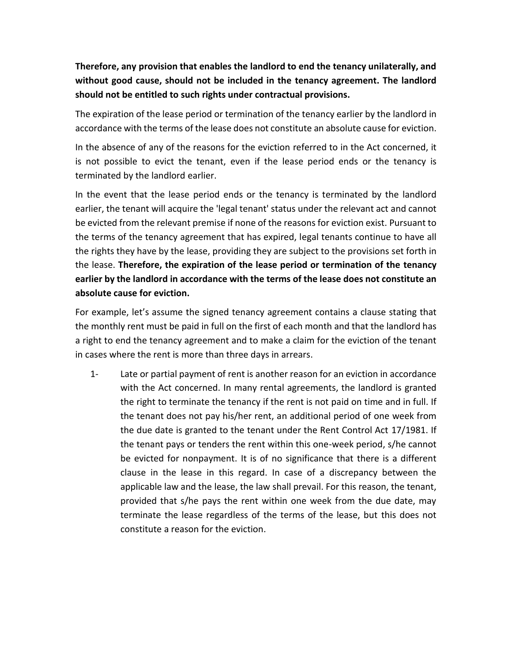**Therefore, any provision that enables the landlord to end the tenancy unilaterally, and without good cause, should not be included in the tenancy agreement. The landlord should not be entitled to such rights under contractual provisions.**

The expiration of the lease period or termination of the tenancy earlier by the landlord in accordance with the terms of the lease does not constitute an absolute cause for eviction.

In the absence of any of the reasons for the eviction referred to in the Act concerned, it is not possible to evict the tenant, even if the lease period ends or the tenancy is terminated by the landlord earlier.

In the event that the lease period ends or the tenancy is terminated by the landlord earlier, the tenant will acquire the 'legal tenant' status under the relevant act and cannot be evicted from the relevant premise if none of the reasons for eviction exist. Pursuant to the terms of the tenancy agreement that has expired, legal tenants continue to have all the rights they have by the lease, providing they are subject to the provisions set forth in the lease. **Therefore, the expiration of the lease period or termination of the tenancy earlier by the landlord in accordance with the terms of the lease does not constitute an absolute cause for eviction.**

For example, let's assume the signed tenancy agreement contains a clause stating that the monthly rent must be paid in full on the first of each month and that the landlord has a right to end the tenancy agreement and to make a claim for the eviction of the tenant in cases where the rent is more than three days in arrears.

1- Late or partial payment of rent is another reason for an eviction in accordance with the Act concerned. In many rental agreements, the landlord is granted the right to terminate the tenancy if the rent is not paid on time and in full. If the tenant does not pay his/her rent, an additional period of one week from the due date is granted to the tenant under the Rent Control Act 17/1981. If the tenant pays or tenders the rent within this one-week period, s/he cannot be evicted for nonpayment. It is of no significance that there is a different clause in the lease in this regard. In case of a discrepancy between the applicable law and the lease, the law shall prevail. For this reason, the tenant, provided that s/he pays the rent within one week from the due date, may terminate the lease regardless of the terms of the lease, but this does not constitute a reason for the eviction.